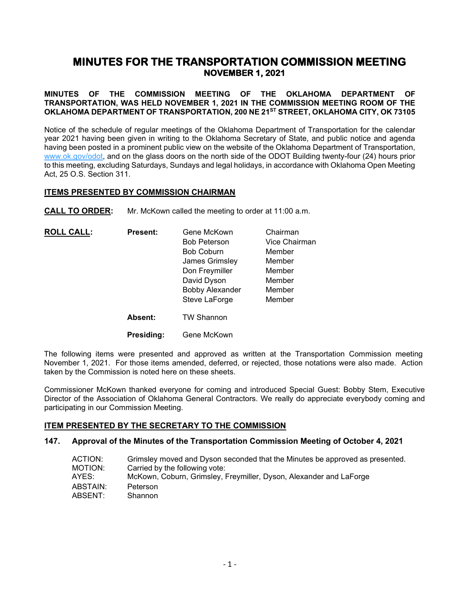# **MINUTES FOR THE TRANSPORTATION COMMISSION MEETING NOVEMBER 1, 2021**

### **MINUTES OF THE COMMISSION MEETING OF THE OKLAHOMA DEPARTMENT OF TRANSPORTATION, WAS HELD NOVEMBER 1, 2021 IN THE COMMISSION MEETING ROOM OF THE OKLAHOMA DEPARTMENT OF TRANSPORTATION, 200 NE 21ST STREET, OKLAHOMA CITY, OK 73105**

Notice of the schedule of regular meetings of the Oklahoma Department of Transportation for the calendar year 2021 having been given in writing to the Oklahoma Secretary of State, and public notice and agenda having been posted in a prominent public view on the website of the Oklahoma Department of Transportation, [www.ok.gov/odot,](http://www.ok.gov/odot) and on the glass doors on the north side of the ODOT Building twenty-four (24) hours prior to this meeting, excluding Saturdays, Sundays and legal holidays, in accordance with Oklahoma Open Meeting Act, 25 O.S. Section 311.

### **ITEMS PRESENTED BY COMMISSION CHAIRMAN**

**CALL TO ORDER:** Mr. McKown called the meeting to order at 11:00 a.m.

| <b>ROLL CALL:</b> | <b>Present:</b> | Gene McKown            | Chairman      |
|-------------------|-----------------|------------------------|---------------|
|                   |                 | <b>Bob Peterson</b>    | Vice Chairman |
|                   |                 | <b>Bob Coburn</b>      | Member        |
|                   |                 | James Grimsley         | Member        |
|                   |                 | Don Freymiller         | Member        |
|                   |                 | David Dyson            | Member        |
|                   |                 | <b>Bobby Alexander</b> | Member        |
|                   |                 | Steve LaForge          | Member        |
|                   | Absent:         | <b>TW Shannon</b>      |               |
|                   | Presiding:      | Gene McKown            |               |

The following items were presented and approved as written at the Transportation Commission meeting November 1, 2021. For those items amended, deferred, or rejected, those notations were also made. Action taken by the Commission is noted here on these sheets.

Commissioner McKown thanked everyone for coming and introduced Special Guest: Bobby Stem, Executive Director of the Association of Oklahoma General Contractors. We really do appreciate everybody coming and participating in our Commission Meeting.

### **ITEM PRESENTED BY THE SECRETARY TO THE COMMISSION**

### **147. Approval of the Minutes of the Transportation Commission Meeting of October 4, 2021**

| ACTION:  | Grimsley moved and Dyson seconded that the Minutes be approved as presented. |
|----------|------------------------------------------------------------------------------|
| MOTION:  | Carried by the following vote:                                               |
| AYES:    | McKown, Coburn, Grimsley, Freymiller, Dyson, Alexander and LaForge           |
| ABSTAIN: | Peterson                                                                     |
| ABSENT:  | Shannon                                                                      |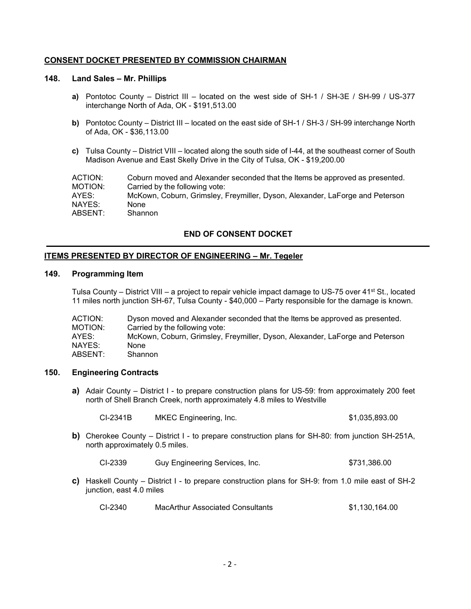### **CONSENT DOCKET PRESENTED BY COMMISSION CHAIRMAN**

### **148. Land Sales – Mr. Phillips**

- **a)** Pontotoc County District III located on the west side of SH-1 / SH-3E / SH-99 / US-377 interchange North of Ada, OK - \$191,513.00
- **b)** Pontotoc County District III located on the east side of SH-1 / SH-3 / SH-99 interchange North of Ada, OK - \$36,113.00
- **c)** Tulsa County District VIII located along the south side of I-44, at the southeast corner of South Madison Avenue and East Skelly Drive in the City of Tulsa, OK - \$19,200.00

| ACTION: | Coburn moved and Alexander seconded that the Items be approved as presented. |
|---------|------------------------------------------------------------------------------|
| MOTION: | Carried by the following vote:                                               |
| AYES:   | McKown, Coburn, Grimsley, Freymiller, Dyson, Alexander, LaForge and Peterson |
| NAYES:  | <b>None</b>                                                                  |
| ABSENT: | Shannon                                                                      |

### **END OF CONSENT DOCKET**

### **ITEMS PRESENTED BY DIRECTOR OF ENGINEERING – Mr. Tegeler**

#### **149. Programming Item**

Tulsa County – District VIII – a project to repair vehicle impact damage to US-75 over 41<sup>st</sup> St., located 11 miles north junction SH-67, Tulsa County - \$40,000 – Party responsible for the damage is known.

| ACTION: | Dyson moved and Alexander seconded that the Items be approved as presented.  |
|---------|------------------------------------------------------------------------------|
| MOTION: | Carried by the following vote:                                               |
| AYES:   | McKown, Coburn, Grimsley, Freymiller, Dyson, Alexander, LaForge and Peterson |
| NAYES:  | None                                                                         |
| ABSENT: | Shannon                                                                      |

### **150. Engineering Contracts**

**a)** Adair County – District I - to prepare construction plans for US-59: from approximately 200 feet north of Shell Branch Creek, north approximately 4.8 miles to Westville

| CI-2341B | MKEC Engineering, Inc. | \$1,035,893.00 |
|----------|------------------------|----------------|
|          |                        |                |

**b)** Cherokee County – District I - to prepare construction plans for SH-80: from junction SH-251A, north approximately 0.5 miles.

CI-2339 Guy Engineering Services, Inc. 6731,386.00

**c)** Haskell County – District I - to prepare construction plans for SH-9: from 1.0 mile east of SH-2 junction, east 4.0 miles

CI-2340 MacArthur Associated Consultants \$1,130,164.00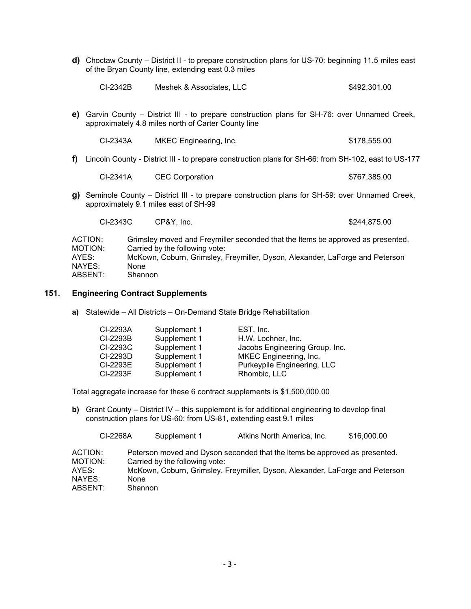**d)** Choctaw County – District II - to prepare construction plans for US-70: beginning 11.5 miles east of the Bryan County line, extending east 0.3 miles

| CI-2342B<br>Meshek & Associates, LLC | \$492,301.00 |
|--------------------------------------|--------------|
|--------------------------------------|--------------|

**e)** Garvin County – District III - to prepare construction plans for SH-76: over Unnamed Creek, approximately 4.8 miles north of Carter County line

| CI-2343A | <b>MKEC Engineering, Inc.</b> | \$178,555.00 |
|----------|-------------------------------|--------------|
|----------|-------------------------------|--------------|

**f)** Lincoln County - District III - to prepare construction plans for SH-66: from SH-102, east to US-177

| CI-2341A | <b>CEC Corporation</b> | \$767,385.00 |
|----------|------------------------|--------------|
|----------|------------------------|--------------|

**g)** Seminole County – District III - to prepare construction plans for SH-59: over Unnamed Creek, approximately 9.1 miles east of SH-99

CI-2343C CP&Y, Inc. \$244,875.00

| Grimsley moved and Freymiller seconded that the Items be approved as presented. |
|---------------------------------------------------------------------------------|
| Carried by the following vote:                                                  |
| McKown, Coburn, Grimsley, Freymiller, Dyson, Alexander, LaForge and Peterson    |
| <b>None</b>                                                                     |
| Shannon                                                                         |
|                                                                                 |

### **151. Engineering Contract Supplements**

**a)** Statewide – All Districts – On-Demand State Bridge Rehabilitation

| CI-2293A | Supplement 1 | EST, Inc.                      |
|----------|--------------|--------------------------------|
| CI-2293B | Supplement 1 | H.W. Lochner, Inc.             |
| CI-2293C | Supplement 1 | Jacobs Engineering Group. Inc. |
| CI-2293D | Supplement 1 | MKEC Engineering, Inc.         |
| CI-2293E | Supplement 1 | Purkeypile Engineering, LLC    |
| CI-2293F | Supplement 1 | Rhombic, LLC                   |

Total aggregate increase for these 6 contract supplements is \$1,500,000.00

**b)** Grant County – District IV – this supplement is for additional engineering to develop final construction plans for US-60: from US-81, extending east 9.1 miles

|         | CI-2268A    | Supplement 1                   | Atkins North America, Inc.                                                   | \$16,000.00 |
|---------|-------------|--------------------------------|------------------------------------------------------------------------------|-------------|
| ACTION: |             |                                | Peterson moved and Dyson seconded that the Items be approved as presented.   |             |
| MOTION: |             | Carried by the following vote: |                                                                              |             |
| AYES:   |             |                                | McKown, Coburn, Grimsley, Freymiller, Dyson, Alexander, LaForge and Peterson |             |
| NAYES:  | <b>None</b> |                                |                                                                              |             |
| ABSENT: |             | Shannon                        |                                                                              |             |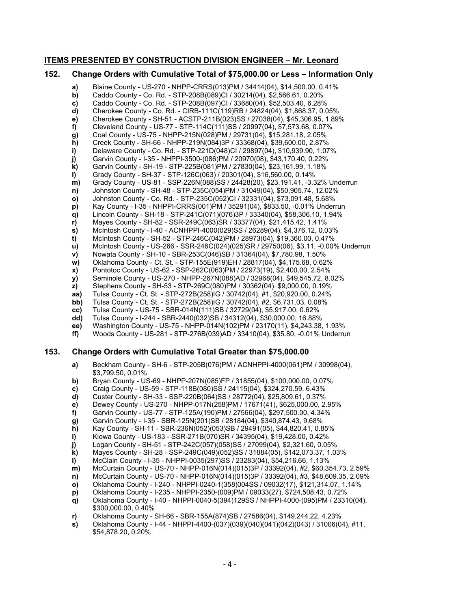### **ITEMS PRESENTED BY CONSTRUCTION DIVISION ENGINEER – Mr. Leonard**

### **152. Change Orders with Cumulative Total of \$75,000.00 or Less – Information Only**

- **a)** Blaine County US-270 NHPP-CRRS(013)PM / 34414(04), \$14,500.00, 0.41% **b)** Caddo County - Co. Rd. - STP-208B(089)CI / 30214(04), \$2,566.61, 0.20% **c)** Caddo County - Co. Rd. - STP-208B(097)CI / 33680(04), \$52,503.40, 6.28% **d)** Cherokee County - Co. Rd. - CIRB-111C(119)RB / 24824(04), \$1,868.37, 0.05% **e)** Cherokee County - SH-51 - ACSTP-211B(023)SS / 27038(04), \$45,306.95, 1.89% **f)** Cleveland County - US-77 - STP-114C(111)SS / 20997(04), \$7,573.68, 0.07% **g)** Coal County - US-75 - NHPP-215N(028)PM / 29731(04), \$15,281.18, 2.05% **h)** Creek County - SH-66 - NHPP-219N(084)3P / 33368(04), \$39,600.00, 2.87% **i)** Delaware County - Co. Rd. - STP-221D(048)CI / 29897(04), \$10,939.90, 1.07%<br>**j)** Garvin County - I-35 - NHPPI-3500-(086)PM / 20970(08), \$43,170.40, 0.22%<br>**k)** Garvin County - SH-19 - STP-225B(081)PM / 27830(04), \$23,16 **j)** Garvin County - I-35 - NHPPI-3500-(086)PM / 20970(08), \$43,170.40, 0.22% **k)** Garvin County - SH-19 - STP-225B(081)PM / 27830(04), \$23,161.99, 1.18% **l)** Grady County - SH-37 - STP-126C(063) / 20301(04), \$16,560.00, 0.14% **m)** Grady County - US-81 - SSP-226N(088)SS / 24428(20), \$23,191.41, -3.32% Underrun
- **n)** Johnston County SH-48 STP-235C(054)PM / 31049(04), \$50,905.74, 12.02%
- **o)** Johnston County Co. Rd. STP-235C(052)CI / 32331(04), \$73,091.48, 5.68%
- **p)** Kay County I-35 NHPPI-CRRS(001)PM / 35291(04), \$833.50, -0.01% Underrun
- **q)** Lincoln County SH-18 STP-241C(071)(076)3P / 33340(04), \$58,306.10, 1.94%
- **r)** Mayes County SH-82 SSR-249C(063)SR / 33377(04), \$21,415.42, 1.41%
- **s)** McIntosh County I-40 ACNHPPI-4000(029)SS / 26289(04), \$4,376.12, 0.03%
- 
- **t)** McIntosh County SH-52 STP-246C(042)PM / 28973(04), \$19,360.00, 0.47%
- **u)** McIntosh County US-266 SSR-246C(024)(025)SR / 29750(06), \$3.11, -0.00% Underrun<br>**v)** Nowata County SH-10 SBR-253C(046)SB / 31364(04), \$7,780.98, 1.50%
- **v)** Nowata County SH-10 SBR-253C(046)SB / 31364(04), \$7,780.98, 1.50%<br>**w)** Oklahoma County Ct. St. STP-155E(919)EH / 28817(04), \$4,175.68, 0.62
- **w)** Oklahoma County Ct. St. STP-155E(919)EH / 28817(04), \$4,175.68, 0.62%<br>**x)** Pontotoc County US-62 SSP-262C(063)PM / 22973(19), \$2,400.00, 2.54% **x)** Pontotoc County - US-62 - SSP-262C(063)PM / 22973(19), \$2,400.00, 2.54%
- **y)** Seminole County US-270 NHPP-267N(088)AD / 32968(04), \$49,545.72, 8.02%
- **z)** Stephens County SH-53 STP-269C(080)PM / 30362(04), \$9,000.00, 0.19%
- **aa)** Tulsa County Ct. St. STP-272B(258)IG / 30742(04), #1, \$20,920.00, 0.24%
- **bb)** Tulsa County Ct. St. STP-272B(258)IG / 30742(04), #2, \$6,731.03, 0.08%
- **cc)** Tulsa County US-75 SBR-014N(111)SB / 32729(04), \$5,917.00, 0.62%
- **dd)** Tulsa County I-244 SBR-2440(032)SB / 34312(04), \$30,000.00, 16.88%
- 
- **ee)** Washington County US-75 NHPP-014N(102)PM / 23170(11), \$4,243.38, 1.93% **ff)** Woods County - US-281 - STP-276B(039)AD / 33410(04), \$35.80, -0.01% Underrun

### **153. Change Orders with Cumulative Total Greater than \$75,000.00**

- **a)** Beckham County SH-6 STP-205B(076)PM / ACNHPPI-4000(061)PM / 30998(04), \$3,799.50, 0.01%
- **b)** Bryan County US-69 NHPP-207N(085)FP / 31855(04), \$100,000.00, 0.07%
- **c)** Craig County US-59 STP-118B(080)SS / 24115(04), \$324,270.59, 6.43%
- 
- **d)** Custer County SH-33 SSP-220B(064)SS / 28772(04), \$25,809.61, 0.37%
- **e)** Dewey County US-270 NHPP-017N(258)PM / 17671(41), \$625,000.00, 2.95% **f)** Garvin County - US-77 - STP-125A(190)PM / 27566(04), \$297,500.00, 4.34%
- **g)** Garvin County I-35 SBR-125N(201)SB / 28184(04), \$340,874.43, 9.68%
- 
- **h)** Kay County SH-11 SBR-236N(052)(053)SB / 29491(05), \$44,820.41, 0.85%
- **i)** Kiowa County US-183 SSR-271B(070)SR / 34395(04), \$19,428.00, 0.42%
- **j)** Logan County SH-51 STP-242C(057)(058)SS / 27099(04), \$2,321.60, 0.05%
- **k)** Mayes County SH-28 SSP-249C(049)(052)SS / 31884(05), \$142,073.37, 1.03% **l)** McClain County - I-35 - NHPPI-0035(297)SS / 23283(04), \$54,216.66, 1.13%
- **m)** McCurtain County US-70 NHPP-016N(014)(015)3P / 33392(04), #2, \$60,354.73, 2.59%
- **n)** McCurtain County US-70 NHPP-016N(014)(015)3P / 33392(04), #3, \$48,609.35, 2.09%
- **o)** Oklahoma County I-240 NHPPI-0240-1(358)004SS / 09032(17), \$121,314.07, 1.14%
- **p)** Oklahoma County I-235 NHPPI-2350-(009)PM / 09033(27), \$724,508.43, 0.72%
- **q)** Oklahoma County I-40 NHPPI-0040-5(394)129SS / NHPPI-4000-(095)PM / 23310(04), \$300,000.00, 0.40%
- **r)** Oklahoma County SH-66 SBR-155A(874)SB / 27586(04), \$149,244.22, 4.23%
- **s)** Oklahoma County I-44 NHPPI-4400-(037)(039)(040)(041)(042)(043) / 31006(04), #11, \$54,878.20, 0.20%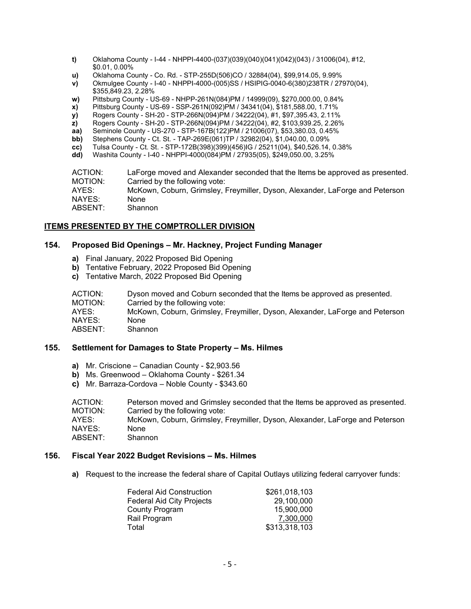- **t)** Oklahoma County I-44 NHPPI-4400-(037)(039)(040)(041)(042)(043) / 31006(04), #12, \$0.01, 0.00%
- **u)** Oklahoma County Co. Rd. STP-255D(506)CO / 32884(04), \$99,914.05, 9.99%
- **v)** Okmulgee County I-40 NHPPI-4000-(005)SS / HSIPIG-0040-6(380)238TR / 27970(04), \$355,849.23, 2.28%
- **w)** Pittsburg County US-69 NHPP-261N(084)PM / 14999(09), \$270,000.00, 0.84%
- **x)** Pittsburg County US-69 SSP-261N(092)PM / 34341(04), \$181,588.00, 1.71%
- **y)** Rogers County SH-20 STP-266N(094)PM / 34222(04), #1, \$97,395.43, 2.11%
- **z)** Rogers County SH-20 STP-266N(094)PM / 34222(04), #2, \$103,939.25, 2.26%
- **aa)** Seminole County US-270 STP-167B(122)PM / 21006(07), \$53,380.03, 0.45%<br>**bb)** Stephens County Ct. St. TAP-269E(061)TP / 32982(04), \$1,040.00, 0.09%
- **bb)** Stephens County Ct. St. TAP-269E(061)TP / 32982(04), \$1,040.00, 0.09%<br>**cc)** Tulsa County Ct. St. STP-172B(398)(399)(456)IG / 25211(04), \$40,526.14,
- **cc)** Tulsa County Ct. St. STP-172B(398)(399)(456)IG / 25211(04), \$40,526.14, 0.38%
- **dd)** Washita County I-40 NHPPI-4000(084)PM / 27935(05), \$249,050.00, 3.25%

ACTION: LaForge moved and Alexander seconded that the Items be approved as presented.<br>MOTION: Carried by the following vote: MOTION: Carried by the following vote:<br>AYES: McKown, Coburn, Grimsley, I McKown, Coburn, Grimsley, Freymiller, Dyson, Alexander, LaForge and Peterson NAYES: None<br>ABSENT: Shannon ABSENT:

### **ITEMS PRESENTED BY THE COMPTROLLER DIVISION**

### **154. Proposed Bid Openings – Mr. Hackney, Project Funding Manager**

- **a)** Final January, 2022 Proposed Bid Opening
- **b)** Tentative February, 2022 Proposed Bid Opening
- **c)** Tentative March, 2022 Proposed Bid Opening

| ACTION: | Dyson moved and Coburn seconded that the Items be approved as presented.     |
|---------|------------------------------------------------------------------------------|
| MOTION: | Carried by the following vote:                                               |
| AYES:   | McKown, Coburn, Grimsley, Freymiller, Dyson, Alexander, LaForge and Peterson |
| NAYES:  | None                                                                         |
| ABSENT: | Shannon                                                                      |

### **155. Settlement for Damages to State Property – Ms. Hilmes**

- **a)** Mr. Criscione Canadian County \$2,903.56
- **b)** Ms. Greenwood Oklahoma County \$261.34
- **c)** Mr. Barraza-Cordova Noble County \$343.60

ACTION: Peterson moved and Grimsley seconded that the Items be approved as presented.<br>MOTION: Carried by the following vote: Carried by the following vote: AYES: McKown, Coburn, Grimsley, Freymiller, Dyson, Alexander, LaForge and Peterson NAYES: None<br>ABSENT: Shannon  $ABSENT$ 

### **156. Fiscal Year 2022 Budget Revisions – Ms. Hilmes**

**a)** Request to the increase the federal share of Capital Outlays utilizing federal carryover funds:

| <b>Federal Aid Construction</b>  | \$261,018,103 |
|----------------------------------|---------------|
| <b>Federal Aid City Projects</b> | 29,100,000    |
| County Program                   | 15,900,000    |
| Rail Program                     | 7,300,000     |
| Total                            | \$313,318,103 |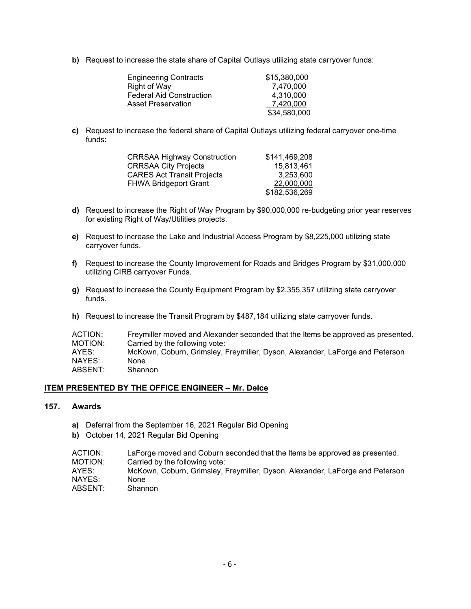**b)** Request to increase the state share of Capital Outlays utilizing state carryover funds:

| <b>Engineering Contracts</b>    | \$15,380,000 |
|---------------------------------|--------------|
| <b>Right of Way</b>             | 7.470.000    |
| <b>Federal Aid Construction</b> | 4,310,000    |
| <b>Asset Preservation</b>       | 7,420,000    |
|                                 | \$34,580,000 |

**c)** Request to increase the federal share of Capital Outlays utilizing federal carryover one-time funds:

| <b>CRRSAA Highway Construction</b> | \$141,469,208 |
|------------------------------------|---------------|
| <b>CRRSAA City Projects</b>        | 15,813,461    |
| <b>CARES Act Transit Projects</b>  | 3.253.600     |
| <b>FHWA Bridgeport Grant</b>       | 22,000,000    |
|                                    | \$182,536,269 |

- **d)** Request to increase the Right of Way Program by \$90,000,000 re-budgeting prior year reserves for existing Right of Way/Utilities projects.
- **e)** Request to increase the Lake and Industrial Access Program by \$8,225,000 utilizing state carryover funds.
- **f)** Request to increase the County Improvement for Roads and Bridges Program by \$31,000,000 utilizing CIRB carryover Funds.
- **g)** Request to increase the County Equipment Program by \$2,355,357 utilizing state carryover funds.
- **h)** Request to increase the Transit Program by \$487,184 utilizing state carryover funds.

| ACTION:<br>Freymiller moved and Alexander seconded that the Items be approved as presented. |  |
|---------------------------------------------------------------------------------------------|--|
| MOTION:<br>Carried by the following vote:                                                   |  |
| AYES:<br>McKown, Coburn, Grimsley, Freymiller, Dyson, Alexander, LaForge and Peterson       |  |
| NAYES:<br>None                                                                              |  |
| ABSENT:<br>Shannon                                                                          |  |

### **ITEM PRESENTED BY THE OFFICE ENGINEER – Mr. Delce**

### **157. Awards**

- **a)** Deferral from the September 16, 2021 Regular Bid Opening
- **b)** October 14, 2021 Regular Bid Opening

| ACTION: | LaForge moved and Coburn seconded that the Items be approved as presented.   |
|---------|------------------------------------------------------------------------------|
| MOTION: | Carried by the following vote:                                               |
| AYES:   | McKown, Coburn, Grimsley, Freymiller, Dyson, Alexander, LaForge and Peterson |
| NAYES:  | <b>None</b>                                                                  |
| ABSENT: | Shannon                                                                      |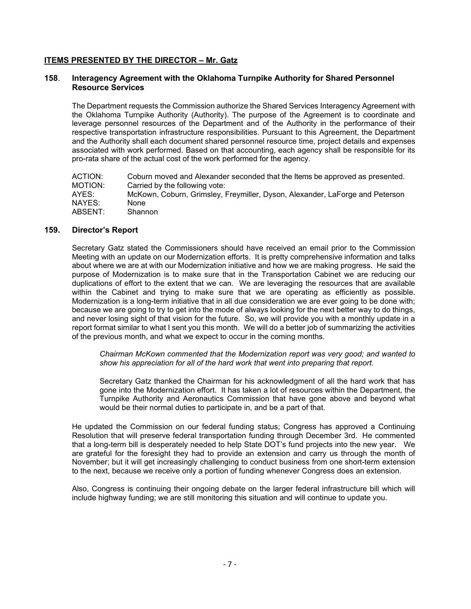### **ITEMS PRESENTED BY THE DIRECTOR – Mr. Gatz**

### **158**. **Interagency Agreement with the Oklahoma Turnpike Authority for Shared Personnel Resource Services**

The Department requests the Commission authorize the Shared Services Interagency Agreement with the Oklahoma Turnpike Authority (Authority). The purpose of the Agreement is to coordinate and leverage personnel resources of the Department and of the Authority in the performance of their respective transportation infrastructure responsibilities. Pursuant to this Agreement, the Department and the Authority shall each document shared personnel resource time, project details and expenses associated with work performed. Based on that accounting, each agency shall be responsible for its pro-rata share of the actual cost of the work performed for the agency.

| ACTION: | Coburn moved and Alexander seconded that the Items be approved as presented. |
|---------|------------------------------------------------------------------------------|
| MOTION: | Carried by the following vote:                                               |
| AYES:   | McKown, Coburn, Grimsley, Freymiller, Dyson, Alexander, LaForge and Peterson |
| NAYES:  | <b>None</b>                                                                  |
| ABSENT: | Shannon                                                                      |

### **159. Director's Report**

Secretary Gatz stated the Commissioners should have received an email prior to the Commission Meeting with an update on our Modernization efforts. It is pretty comprehensive information and talks about where we are at with our Modernization initiative and how we are making progress. He said the purpose of Modernization is to make sure that in the Transportation Cabinet we are reducing our duplications of effort to the extent that we can. We are leveraging the resources that are available within the Cabinet and trying to make sure that we are operating as efficiently as possible. Modernization is a long-term initiative that in all due consideration we are ever going to be done with; because we are going to try to get into the mode of always looking for the next better way to do things, and never losing sight of that vision for the future. So, we will provide you with a monthly update in a report format similar to what I sent you this month. We will do a better job of summarizing the activities of the previous month, and what we expect to occur in the coming months.

*Chairman McKown commented that the Modernization report was very good; and wanted to show his appreciation for all of the hard work that went into preparing that report.* 

Secretary Gatz thanked the Chairman for his acknowledgment of all the hard work that has gone into the Modernization effort. It has taken a lot of resources within the Department, the Turnpike Authority and Aeronautics Commission that have gone above and beyond what would be their normal duties to participate in, and be a part of that.

He updated the Commission on our federal funding status; Congress has approved a Continuing Resolution that will preserve federal transportation funding through December 3rd. He commented that a long-term bill is desperately needed to help State DOT's fund projects into the new year. We are grateful for the foresight they had to provide an extension and carry us through the month of November; but it will get increasingly challenging to conduct business from one short-term extension to the next, because we receive only a portion of funding whenever Congress does an extension.

Also, Congress is continuing their ongoing debate on the larger federal infrastructure bill which will include highway funding; we are still monitoring this situation and will continue to update you.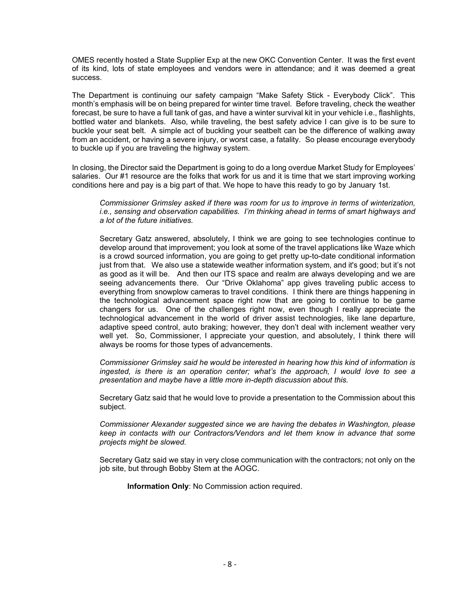OMES recently hosted a State Supplier Exp at the new OKC Convention Center. It was the first event of its kind, lots of state employees and vendors were in attendance; and it was deemed a great success.

The Department is continuing our safety campaign "Make Safety Stick - Everybody Click". This month's emphasis will be on being prepared for winter time travel. Before traveling, check the weather forecast, be sure to have a full tank of gas, and have a winter survival kit in your vehicle i.e., flashlights, bottled water and blankets. Also, while traveling, the best safety advice I can give is to be sure to buckle your seat belt. A simple act of buckling your seatbelt can be the difference of walking away from an accident, or having a severe injury, or worst case, a fatality. So please encourage everybody to buckle up if you are traveling the highway system.

In closing, the Director said the Department is going to do a long overdue Market Study for Employees' salaries. Our #1 resource are the folks that work for us and it is time that we start improving working conditions here and pay is a big part of that. We hope to have this ready to go by January 1st.

*Commissioner Grimsley asked if there was room for us to improve in terms of winterization, i.e., sensing and observation capabilities. I'm thinking ahead in terms of smart highways and a lot of the future initiatives.* 

Secretary Gatz answered, absolutely, I think we are going to see technologies continue to develop around that improvement; you look at some of the travel applications like Waze which is a crowd sourced information, you are going to get pretty up-to-date conditional information just from that. We also use a statewide weather information system, and it's good; but it's not as good as it will be. And then our ITS space and realm are always developing and we are seeing advancements there. Our "Drive Oklahoma" app gives traveling public access to everything from snowplow cameras to travel conditions. I think there are things happening in the technological advancement space right now that are going to continue to be game changers for us. One of the challenges right now, even though I really appreciate the technological advancement in the world of driver assist technologies, like lane departure, adaptive speed control, auto braking; however, they don't deal with inclement weather very well yet. So, Commissioner, I appreciate your question, and absolutely, I think there will always be rooms for those types of advancements.

*Commissioner Grimsley said he would be interested in hearing how this kind of information is ingested, is there is an operation center; what's the approach, I would love to see a presentation and maybe have a little more in-depth discussion about this.*

Secretary Gatz said that he would love to provide a presentation to the Commission about this subject.

*Commissioner Alexander suggested since we are having the debates in Washington, please keep in contacts with our Contractors/Vendors and let them know in advance that some projects might be slowed.*

Secretary Gatz said we stay in very close communication with the contractors; not only on the job site, but through Bobby Stem at the AOGC.

**Information Only**: No Commission action required.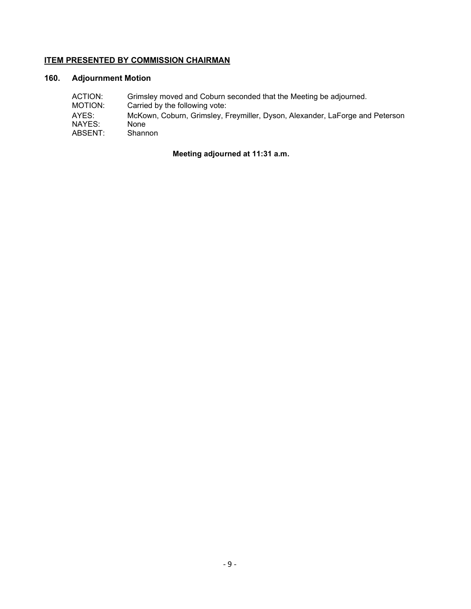### **ITEM PRESENTED BY COMMISSION CHAIRMAN**

## **160. Adjournment Motion**

| ACTION: | Grimsley moved and Coburn seconded that the Meeting be adjourned.            |
|---------|------------------------------------------------------------------------------|
| MOTION: | Carried by the following vote:                                               |
| AYES:   | McKown, Coburn, Grimsley, Freymiller, Dyson, Alexander, LaForge and Peterson |
| NAYES:  | None                                                                         |
| ABSENT: | Shannon                                                                      |

**Meeting adjourned at 11:31 a.m.**